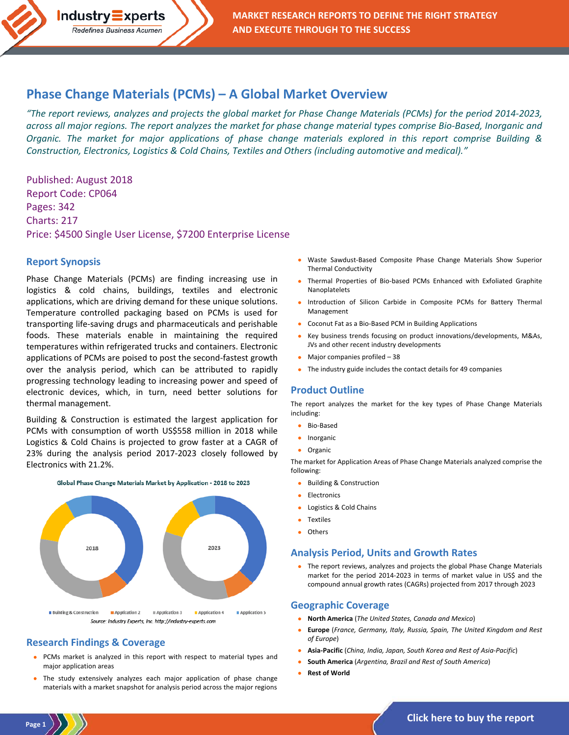# **[Phase Change Materials \(PCMs\) –](http://industry-experts.com/verticals/chemicals-and-materials/phase-change-materials-pcms-a-global-market-overview) A Global Market Overview**

*"The report reviews, analyzes and projects the global market for Phase Change Materials (PCMs) for the period 2014-2023, across all major regions. The report analyzes the market for phase change material types comprise Bio-Based, Inorganic and Organic. The market for major applications of phase change materials explored in this report comprise Building & Construction, Electronics, Logistics & Cold Chains, Textiles and Others (including automotive and medical)."*

Published: August 2018 Report Code: CP064 Pages: 342 Charts: 217 Price: \$4500 Single User License, \$7200 Enterprise License

**Industry Experts** Redefines Business Acumen

#### **Report Synopsis**

Phase Change Materials (PCMs) are finding increasing use in logistics & cold chains, buildings, textiles and electronic applications, which are driving demand for these unique solutions. Temperature controlled packaging based on PCMs is used for transporting life-saving drugs and pharmaceuticals and perishable foods. These materials enable in maintaining the required temperatures within refrigerated trucks and containers. Electronic applications of PCMs are poised to post the second-fastest growth over the analysis period, which can be attributed to rapidly progressing technology leading to increasing power and speed of electronic devices, which, in turn, need better solutions for thermal management.

Building & Construction is estimated the largest application for PCMs with consumption of worth US\$558 million in 2018 while Logistics & Cold Chains is projected to grow faster at a CAGR of 23% during the analysis period 2017-2023 closely followed by Electronics with 21.2%.



#### Global Phase Change Materials Market by Application - 2018 to 2023

**B** Application 5 **Building & Construction** Application 2 Application 3 Application 4 Source: Industry Experts, Inc. http://industry-experts.com

## **Research Findings & Coverage**

- PCMs market is analyzed in this report with respect to material types and major application areas
- The study extensively analyzes each major application of phase change materials with a market snapshot for analysis period across the major regions
- Waste Sawdust-Based Composite Phase Change Materials Show Superior Thermal Conductivity
- Thermal Properties of Bio-based PCMs Enhanced with Exfoliated Graphite Nanoplatelets
- Introduction of Silicon Carbide in Composite PCMs for Battery Thermal Management
- Coconut Fat as a Bio-Based PCM in Building Applications
- Key business trends focusing on product innovations/developments, M&As, JVs and other recent industry developments
- Major companies profiled 38
- The industry guide includes the contact details for 49 companies

## **Product Outline**

The report analyzes the market for the key types of Phase Change Materials including:

- Bio-Based
- Inorganic
- Organic

The market for Application Areas of Phase Change Materials analyzed comprise the following:

- Building & Construction
- **Electronics**
- Logistics & Cold Chains
- Textiles
- **Others**

#### **Analysis Period, Units and Growth Rates**

• The report reviews, analyzes and projects the global Phase Change Materials market for the period 2014-2023 in terms of market value in US\$ and the compound annual growth rates (CAGRs) projected from 2017 through 2023

### **Geographic Coverage**

- **North America** (*The United States, Canada and Mexico*)
- **Europe** (*France, Germany, Italy, Russia, Spain, The United Kingdom and Rest of Europe*)
- **Asia-Pacific** (*China, India, Japan, South Korea and Rest of Asia-Pacific*)
- **South America** (*Argentina, Brazil and Rest of South America*)
- **Rest of World**

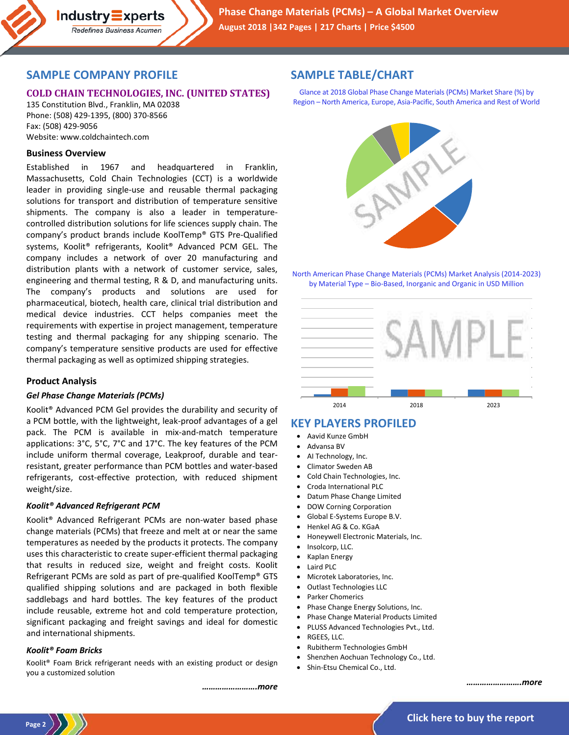

## **SAMPLE COMPANY PROFILE**

**Industry Experts** Redefines Business Acumen

## **COLD CHAIN TECHNOLOGIES, INC. (UNITED STATES)**

135 Constitution Blvd., Franklin, MA 02038 Phone: (508) 429-1395, (800) 370-8566 Fax: (508) 429-9056 Website: www.coldchaintech.com

### **Business Overview**

Established in 1967 and headquartered in Franklin, Massachusetts, Cold Chain Technologies (CCT) is a worldwide leader in providing single-use and reusable thermal packaging solutions for transport and distribution of temperature sensitive shipments. The company is also a leader in temperaturecontrolled distribution solutions for life sciences supply chain. The company's product brands include KoolTemp® GTS Pre-Qualified systems, Koolit® refrigerants, Koolit® Advanced PCM GEL. The company includes a network of over 20 manufacturing and distribution plants with a network of customer service, sales, engineering and thermal testing, R & D, and manufacturing units. The company's products and solutions are used for pharmaceutical, biotech, health care, clinical trial distribution and medical device industries. CCT helps companies meet the requirements with expertise in project management, temperature testing and thermal packaging for any shipping scenario. The company's temperature sensitive products are used for effective thermal packaging as well as optimized shipping strategies.

### **Product Analysis**

#### *Gel Phase Change Materials (PCMs)*

Koolit® Advanced PCM Gel provides the durability and security of a PCM bottle, with the lightweight, leak-proof advantages of a gel pack. The PCM is available in mix-and-match temperature applications: 3°C, 5°C, 7°C and 17°C. The key features of the PCM include uniform thermal coverage, Leakproof, durable and tearresistant, greater performance than PCM bottles and water-based refrigerants, cost-effective protection, with reduced shipment weight/size.

#### *Koolit® Advanced Refrigerant PCM*

Koolit® Advanced Refrigerant PCMs are non-water based phase change materials (PCMs) that freeze and melt at or near the same temperatures as needed by the products it protects. The company uses this characteristic to create super-efficient thermal packaging that results in reduced size, weight and freight costs. Koolit Refrigerant PCMs are sold as part of pre-qualified KoolTemp® GTS qualified shipping solutions and are packaged in both flexible saddlebags and hard bottles. The key features of the product include reusable, extreme hot and cold temperature protection, significant packaging and freight savings and ideal for domestic and international shipments.

#### *Koolit® Foam Bricks*

Koolit® Foam Brick refrigerant needs with an existing product or design you a customized solution

#### *…………………….more*

## **SAMPLE TABLE/CHART**

Glance at 2018 Global Phase Change Materials (PCMs) Market Share (%) by Region – North America, Europe, Asia-Pacific, South America and Rest of World



North American Phase Change Materials (PCMs) Market Analysis (2014-2023) by Material Type – Bio-Based, Inorganic and Organic in USD Million



## **KEY PLAYERS PROFILED**

- Aavid Kunze GmbH
- Advansa BV
- AI Technology, Inc.
- Climator Sweden AB
- Cold Chain Technologies, Inc.
- Croda International PLC
- Datum Phase Change Limited
- DOW Corning Corporation
- Global E-Systems Europe B.V.
- Henkel AG & Co. KGaA
- Honeywell Electronic Materials, Inc.
- Insolcorp, LLC.
- Kaplan Energy
- Laird PLC
- Microtek Laboratories, Inc.
- Outlast Technologies LLC
- Parker Chomerics
- Phase Change Energy Solutions, Inc.
- Phase Change Material Products Limited
- PLUSS Advanced Technologies Pvt., Ltd.
- RGEES, LLC.
- Rubitherm Technologies GmbH
- Shenzhen Aochuan Technology Co., Ltd.
- Shin-Etsu Chemical Co., Ltd.

*…………………….more*

**Page 2**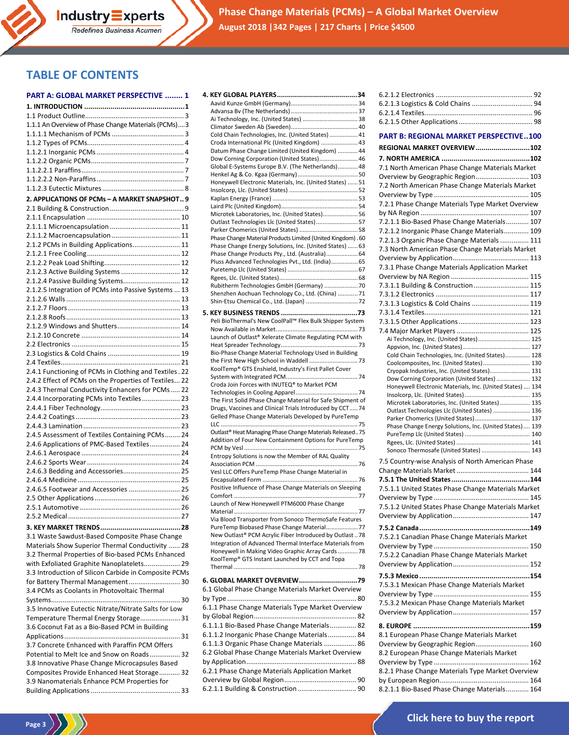**Phase Change Materials (PCMs) – A Global Market Overview August 2018 |342 Pages | 217 Charts | Price \$4500**

# **TABLE OF CONTENTS**

|  | <b>PART A: GLOBAL MARKET PERSPECTIVE  1</b> |  |
|--|---------------------------------------------|--|
|  |                                             |  |

Redefines Business Acumen

| 1.1.1 An Overview of Phase Change Materials (PCMs)3                        |
|----------------------------------------------------------------------------|
|                                                                            |
|                                                                            |
|                                                                            |
|                                                                            |
|                                                                            |
|                                                                            |
|                                                                            |
| 2. APPLICATIONS OF PCMs - A MARKET SNAPSHOT 9                              |
|                                                                            |
|                                                                            |
|                                                                            |
|                                                                            |
| 2.1.2 PCMs in Building Applications 11                                     |
|                                                                            |
|                                                                            |
| 2.1.2.3 Active Building Systems  12<br>2.1.2.4 Passive Building Systems 12 |
| 2.1.2.5 Integration of PCMs into Passive Systems  13                       |
|                                                                            |
|                                                                            |
|                                                                            |
| 2.1.2.9 Windows and Shutters 14                                            |
|                                                                            |
|                                                                            |
|                                                                            |
|                                                                            |
| 2.4.1 Functioning of PCMs in Clothing and Textiles. 22                     |
| 2.4.2 Effect of PCMs on the Properties of Textiles 22                      |
| 2.4.3 Thermal Conductivity Enhancers for PCMs  22                          |
| 2.4.4 Incorporating PCMs into Textiles 23                                  |
|                                                                            |
|                                                                            |
|                                                                            |
| 2.4.5 Assessment of Textiles Containing PCMs 24                            |
| 2.4.6 Applications of PMC-Based Textiles 24                                |
|                                                                            |
| 2.4.6.3 Bedding and Accessories 25                                         |
|                                                                            |
| 2.4.6.5 Footwear and Accessories  25                                       |
|                                                                            |
|                                                                            |
|                                                                            |
|                                                                            |
| 3.1 Waste Sawdust-Based Composite Phase Change                             |
| Materials Show Superior Thermal Conductivity  28                           |
| 3.2 Thermal Properties of Bio-based PCMs Enhanced                          |
| with Exfoliated Graphite Nanoplatelets 29                                  |
| 3.3 Introduction of Silicon Carbide in Composite PCMs                      |
| for Battery Thermal Management 30                                          |
| 3.4 PCMs as Coolants in Photovoltaic Thermal                               |
|                                                                            |
| 3.5 Innovative Eutectic Nitrate/Nitrate Salts for Low                      |
| Temperature Thermal Energy Storage 31                                      |
| 3.6 Coconut Fat as a Bio-Based PCM in Building                             |
|                                                                            |
| 3.7 Concrete Enhanced with Paraffin PCM Offers                             |
| Potential to Melt Ice and Snow on Roads 32                                 |
| 3.8 Innovative Phase Change Microcapsules Based                            |
| Composites Provide Enhanced Heat Storage 32                                |
| 3.9 Nanomaterials Enhance PCM Properties for                               |
|                                                                            |

Page 3  $\langle \rangle$ 

| Ai Technology, Inc. (United States)  38                                                                                |
|------------------------------------------------------------------------------------------------------------------------|
| Cold Chain Technologies, Inc. (United States)  41                                                                      |
| Croda International Plc (United Kingdom)  43                                                                           |
| Datum Phase Change Limited (United Kingdom)  44                                                                        |
| Dow Corning Corporation (United States) 46                                                                             |
| Global E-Systems Europe B.V. (The Netherlands) 48                                                                      |
|                                                                                                                        |
| Honeywell Electronic Materials, Inc. (United States)  51                                                               |
|                                                                                                                        |
|                                                                                                                        |
| Microtek Laboratories, Inc. (United States) 56                                                                         |
| Outlast Technologies Llc (United States)57                                                                             |
| Parker Chomerics (United States)  58                                                                                   |
| Phase Change Material Products Limited (United Kingdom). 60<br>Phase Change Energy Solutions, Inc. (United States)  63 |
| Phase Change Products Pty., Ltd. (Australia) 64                                                                        |
| Pluss Advanced Technologies Pvt., Ltd. (India) 65                                                                      |
|                                                                                                                        |
|                                                                                                                        |
| Rubitherm Technologies GmbH (Germany)  70                                                                              |
| Shenzhen Aochuan Technology Co., Ltd. (China)  71<br>Shin-Etsu Chemical Co., Ltd. (Japan)  72                          |
|                                                                                                                        |
| Peli BioThermal's New CoolPall™ Flex Bulk Shipper System                                                               |
|                                                                                                                        |
| Launch of Outlast® Xelerate Climate Regulating PCM with                                                                |
|                                                                                                                        |
| Bio-Phase Change Material Technology Used in Building                                                                  |
|                                                                                                                        |
| KoolTemp® GTS Enshield, Industry's First Pallet Cover                                                                  |
| Croda Join Forces with INUTEQ® to Market PCM                                                                           |
|                                                                                                                        |
| The First Solid Phase Change Material for Safe Shipment of                                                             |
|                                                                                                                        |
| Drugs, Vaccines and Clinical Trials Introduced by CCT74                                                                |
| Gelled Phase Change Materials Developed by PureTemp                                                                    |
|                                                                                                                        |
| Outlast® Heat Managing Phase Change Materials Released 75                                                              |
| Addition of Four New Containment Options for PureTemp                                                                  |
| Entropy Solutions is now the Member of RAL Quality                                                                     |
|                                                                                                                        |
| Vesl LLC Offers PureTemp Phase Change Material in                                                                      |
|                                                                                                                        |
| Positive Influence of Phase Change Materials on Sleeping                                                               |
| Launch of New Honeywell PTM6000 Phase Change                                                                           |
|                                                                                                                        |
| Via Blood Transporter from Sonoco ThermoSafe Features                                                                  |
| PureTemp Biobased Phase Change Material 77                                                                             |
| New Outlast® PCM Acrylic Fiber Introduced by Outlast78                                                                 |
| Integration of Advanced Thermal Interface Materials from                                                               |
| Honeywell in Making Video Graphic Array Cards  78<br>KoolTemp® GTS Instant Launched by CCT and Topa                    |
|                                                                                                                        |
|                                                                                                                        |
|                                                                                                                        |
| 6.1 Global Phase Change Materials Market Overview                                                                      |
| 6.1.1 Phase Change Materials Type Market Overview                                                                      |
|                                                                                                                        |
| 6.1.1.1 Bio-Based Phase Change Materials 82                                                                            |
| 6.1.1.2 Inorganic Phase Change Materials 84                                                                            |
| 6.1.1.3 Organic Phase Change Materials  86                                                                             |
| 6.2 Global Phase Change Materials Market Overview                                                                      |
|                                                                                                                        |
| 6.2.1 Phase Change Materials Application Market                                                                        |
|                                                                                                                        |

| <b>PART B: REGIONAL MARKET PERSPECTIVE100</b>             |
|-----------------------------------------------------------|
|                                                           |
| REGIONAL MARKET OVERVIEW 102                              |
|                                                           |
| 7.1 North American Phase Change Materials Market          |
| Overview by Geographic Region 103                         |
| 7.2 North American Phase Change Materials Market          |
|                                                           |
| 7.2.1 Phase Change Materials Type Market Overview         |
|                                                           |
| 7.2.1.1 Bio-Based Phase Change Materials 107              |
| 7.2.1.2 Inorganic Phase Change Materials 109              |
| 7.2.1.3 Organic Phase Change Materials  111               |
| 7.3 North American Phase Change Materials Market          |
|                                                           |
| 7.3.1 Phase Change Materials Application Market           |
|                                                           |
| 7.3.1.1 Building & Construction 115                       |
|                                                           |
| 7.3.1.3 Logistics & Cold Chains  119                      |
|                                                           |
|                                                           |
|                                                           |
| Ai Technology, Inc. (United States) 125                   |
| Cold Chain Technologies, Inc. (United States) 128         |
| Coolcomposites, Inc. (United States) 130                  |
| Cryopak Industries, Inc. (United States) 131              |
| Dow Corning Corporation (United States)  132              |
| Honeywell Electronic Materials, Inc. (United States)  134 |
| Microtek Laboratories, Inc. (United States)  135          |
| Outlast Technologies Llc (United States)  136             |
| Parker Chomerics (United States) 137                      |
| Phase Change Energy Solutions, Inc. (United States) 139   |
|                                                           |
|                                                           |
| Sonoco Thermosafe (United States)  143                    |
| 7.5 Country-wise Analysis of North American Phase         |
|                                                           |
|                                                           |
| 7.5.1.1 United States Phase Change Materials Market       |
|                                                           |
| 7.5.1.2 United States Phase Change Materials Market       |
|                                                           |
|                                                           |
| 7.5.2.1 Canadian Phase Change Materials Market            |
|                                                           |
| 7.5.2.2 Canadian Phase Change Materials Market            |
|                                                           |
|                                                           |
| 7.5.3.1 Mexican Phase Change Materials Market             |
|                                                           |
| 7.5.3.2 Mexican Phase Change Materials Market             |
|                                                           |
|                                                           |
|                                                           |
| 8.1 European Phase Change Materials Market                |
| Overview by Geographic Region 160                         |
| 8.2 European Phase Change Materials Market                |
|                                                           |
| 8.2.1 Phase Change Materials Type Market Overview         |
|                                                           |
| 8.2.1.1 Bio-Based Phase Change Materials 164              |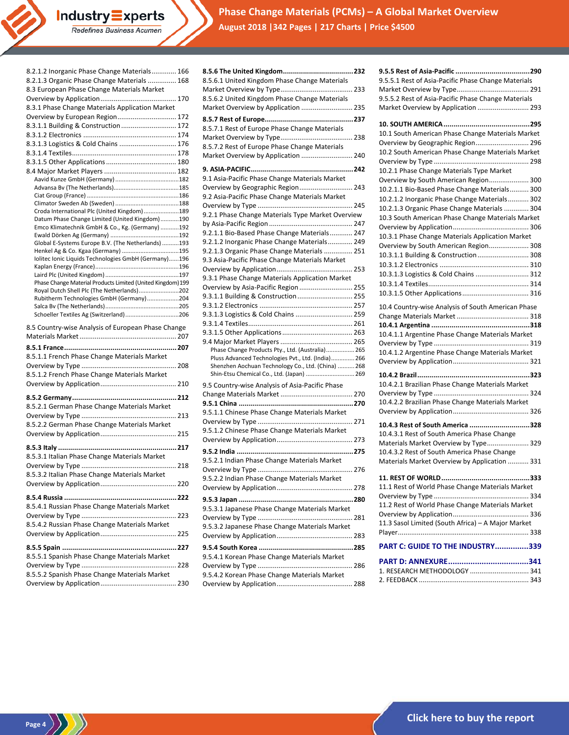**Phase Change Materials (PCMs) – A Global Market Overview August 2018 |342 Pages | 217 Charts | Price \$4500**

| 8.2.1.2 Inorganic Phase Change Materials 166<br>8.2.1.3 Organic Phase Change Materials  168<br>8.3 European Phase Change Materials Market |  |
|-------------------------------------------------------------------------------------------------------------------------------------------|--|
|                                                                                                                                           |  |
| 8.3.1 Phase Change Materials Application Market                                                                                           |  |
| Overview by European Region 172                                                                                                           |  |
| 8.3.1.1 Building & Construction  172                                                                                                      |  |
|                                                                                                                                           |  |
| 8.3.1.3 Logistics & Cold Chains  176                                                                                                      |  |
|                                                                                                                                           |  |
|                                                                                                                                           |  |
|                                                                                                                                           |  |
|                                                                                                                                           |  |
|                                                                                                                                           |  |
|                                                                                                                                           |  |
| Croda International Plc (United Kingdom)189                                                                                               |  |
| Datum Phase Change Limited (United Kingdom)190                                                                                            |  |
| Emco Klimatechnik GmbH & Co., Kg. (Germany) 192                                                                                           |  |
|                                                                                                                                           |  |
| Global E-Systems Europe B.V. (The Netherlands) 193<br>Henkel Ag & Co. Kgaa (Germany) 195                                                  |  |
| Iolitec Ionic Liquids Technologies GmbH (Germany)196                                                                                      |  |
|                                                                                                                                           |  |
|                                                                                                                                           |  |
| Phase Change Material Products Limited (United Kingdom) 199                                                                               |  |
| Royal Dutch Shell Plc (The Netherlands)202<br>Rubitherm Technologies GmbH (Germany)204                                                    |  |
|                                                                                                                                           |  |
| Schoeller Textiles Ag (Switzerland)206                                                                                                    |  |
|                                                                                                                                           |  |
|                                                                                                                                           |  |
| 8.5 Country-wise Analysis of European Phase Change                                                                                        |  |
|                                                                                                                                           |  |
|                                                                                                                                           |  |
| 8.5.1.1 French Phase Change Materials Market                                                                                              |  |
|                                                                                                                                           |  |
| 8.5.1.2 French Phase Change Materials Market                                                                                              |  |
|                                                                                                                                           |  |
|                                                                                                                                           |  |
| 8.5.2.1 German Phase Change Materials Market                                                                                              |  |
|                                                                                                                                           |  |
| 8.5.2.2 German Phase Change Materials Market                                                                                              |  |
|                                                                                                                                           |  |
|                                                                                                                                           |  |
| 8.5.3.1 Italian Phase Change Materials Market                                                                                             |  |
|                                                                                                                                           |  |
| 8.5.3.2 Italian Phase Change Materials Market                                                                                             |  |
|                                                                                                                                           |  |
|                                                                                                                                           |  |
|                                                                                                                                           |  |
| 8.5.4.1 Russian Phase Change Materials Market                                                                                             |  |
|                                                                                                                                           |  |
| 8.5.4.2 Russian Phase Change Materials Market                                                                                             |  |
|                                                                                                                                           |  |
|                                                                                                                                           |  |
| 8.5.5.1 Spanish Phase Change Materials Market                                                                                             |  |
|                                                                                                                                           |  |
| 8.5.5.2 Spanish Phase Change Materials Market                                                                                             |  |

Industry Experts Redefines Business Acumen

 $\binom{Page 4}{\binom{3}{2}}$ 

| 8.5.6.1 United Kingdom Phase Change Materials      |
|----------------------------------------------------|
|                                                    |
| 8.5.6.2 United Kingdom Phase Change Materials      |
| Market Overview by Application  235                |
|                                                    |
| 8.5.7.1 Rest of Europe Phase Change Materials      |
|                                                    |
| 8.5.7.2 Rest of Europe Phase Change Materials      |
| Market Overview by Application  240                |
|                                                    |
| 9.1 Asia-Pacific Phase Change Materials Market     |
| Overview by Geographic Region 243                  |
| 9.2 Asia-Pacific Phase Change Materials Market     |
|                                                    |
| 9.2.1 Phase Change Materials Type Market Overview  |
|                                                    |
| 9.2.1.1 Bio-Based Phase Change Materials 247       |
| 9.2.1.2 Inorganic Phase Change Materials 249       |
| 9.2.1.3 Organic Phase Change Materials  251        |
| 9.3 Asia-Pacific Phase Change Materials Market     |
|                                                    |
| 9.3.1 Phase Change Materials Application Market    |
| Overview by Asia-Pacific Region  255               |
| 9.3.1.1 Building & Construction  255               |
|                                                    |
| 9.3.1.3 Logistics & Cold Chains  259               |
|                                                    |
|                                                    |
| Phase Change Products Pty., Ltd. (Australia) 265   |
| Pluss Advanced Technologies Pvt., Ltd. (India) 266 |
| Shenzhen Aochuan Technology Co., Ltd. (China)  268 |
| Shin-Etsu Chemical Co., Ltd. (Japan)  269          |
| 9.5 Country-wise Analysis of Asia-Pacific Phase    |
|                                                    |
|                                                    |
| 9.5.1.1 Chinese Phase Change Materials Market      |
|                                                    |
| 9.5.1.2 Chinese Phase Change Materials Market      |
|                                                    |
|                                                    |
| 9.5.2.1 Indian Phase Change Materials Market       |
|                                                    |
| 9.5.2.2 Indian Phase Change Materials Market       |
|                                                    |
|                                                    |
| 9.5.3.1 Japanese Phase Change Materials Market     |
|                                                    |
| 9.5.3.2 Japanese Phase Change Materials Market     |
|                                                    |
|                                                    |
| 9.5.4.1 Korean Phase Change Materials Market       |
|                                                    |
| 9.5.4.2 Korean Phase Change Materials Market       |
|                                                    |

| 9.5.5.1 Rest of Asia-Pacific Phase Change Materials<br>9.5.5.2 Rest of Asia-Pacific Phase Change Materials<br>Market Overview by Application  293                                                                                                                                                                                                                                                                                                                                                                                                                                                                       |
|-------------------------------------------------------------------------------------------------------------------------------------------------------------------------------------------------------------------------------------------------------------------------------------------------------------------------------------------------------------------------------------------------------------------------------------------------------------------------------------------------------------------------------------------------------------------------------------------------------------------------|
| 10.1 South American Phase Change Materials Market<br>Overview by Geographic Region 296<br>10.2 South American Phase Change Materials Market<br>10.2.1 Phase Change Materials Type Market<br>Overview by South American Region 300<br>10.2.1.1 Bio-Based Phase Change Materials 300<br>10.2.1.2 Inorganic Phase Change Materials 302<br>10.2.1.3 Organic Phase Change Materials  304<br>10.3 South American Phase Change Materials Market<br>10.3.1 Phase Change Materials Application Market<br>Overview by South American Region 308<br>10.3.1.1 Building & Construction  308<br>10.3.1.3 Logistics & Cold Chains  312 |
| 10.4 Country-wise Analysis of South American Phase<br>10.4.1.1 Argentine Phase Change Materials Market<br>10.4.1.2 Argentine Phase Change Materials Market                                                                                                                                                                                                                                                                                                                                                                                                                                                              |
| 10.4.2.1 Brazilian Phase Change Materials Market<br>10.4.2.2 Brazilian Phase Change Materials Market                                                                                                                                                                                                                                                                                                                                                                                                                                                                                                                    |
| 10.4.3 Rest of South America 328<br>10.4.3.1 Rest of South America Phase Change<br>Materials Market Overview by Type 329<br>10.4.3.2 Rest of South America Phase Change<br>Materials Market Overview by Application  331                                                                                                                                                                                                                                                                                                                                                                                                |
| <b>11. REST OF WORLD</b><br>333<br>11.1 Rest of World Phase Change Materials Market<br>11.2 Rest of World Phase Change Materials Market<br>11.3 Sasol Limited (South Africa) - A Major Market                                                                                                                                                                                                                                                                                                                                                                                                                           |
| PART C: GUIDE TO THE INDUSTRY339                                                                                                                                                                                                                                                                                                                                                                                                                                                                                                                                                                                        |
| 1. RESEARCH METHODOLOGY  341                                                                                                                                                                                                                                                                                                                                                                                                                                                                                                                                                                                            |